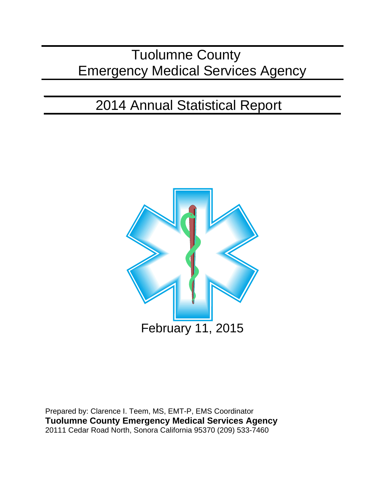# Tuolumne County Emergency Medical Services Agency

# 2014 Annual Statistical Report



Prepared by: Clarence I. Teem, MS, EMT-P, EMS Coordinator **Tuolumne County Emergency Medical Services Agency** 20111 Cedar Road North, Sonora California 95370 (209) 533-7460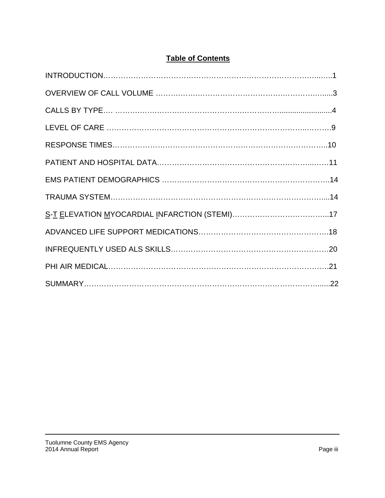## **Table of Contents**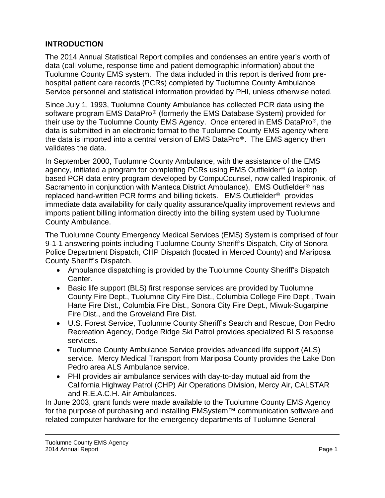## **INTRODUCTION**

The 2014 Annual Statistical Report compiles and condenses an entire year's worth of data (call volume, response time and patient demographic information) about the Tuolumne County EMS system. The data included in this report is derived from prehospital patient care records (PCRs) completed by Tuolumne County Ambulance Service personnel and statistical information provided by PHI, unless otherwise noted.

Since July 1, 1993, Tuolumne County Ambulance has collected PCR data using the software program EMS DataPro® (formerly the EMS Database System) provided for their use by the Tuolumne County EMS Agency. Once entered in EMS DataPro®, the data is submitted in an electronic format to the Tuolumne County EMS agency where the data is imported into a central version of EMS DataPro®. The EMS agency then validates the data.

In September 2000, Tuolumne County Ambulance, with the assistance of the EMS agency, initiated a program for completing PCRs using EMS Outfielder® (a laptop based PCR data entry program developed by CompuCounsel, now called Inspironix, of Sacramento in conjunction with Manteca District Ambulance). EMS Outfielder® has replaced hand-written PCR forms and billing tickets. EMS Outfielder® provides immediate data availability for daily quality assurance/quality improvement reviews and imports patient billing information directly into the billing system used by Tuolumne County Ambulance.

The Tuolumne County Emergency Medical Services (EMS) System is comprised of four 9-1-1 answering points including Tuolumne County Sheriff's Dispatch, City of Sonora Police Department Dispatch, CHP Dispatch (located in Merced County) and Mariposa County Sheriff's Dispatch.

- Ambulance dispatching is provided by the Tuolumne County Sheriff's Dispatch Center.
- Basic life support (BLS) first response services are provided by Tuolumne County Fire Dept., Tuolumne City Fire Dist., Columbia College Fire Dept., Twain Harte Fire Dist., Columbia Fire Dist., Sonora City Fire Dept., Miwuk-Sugarpine Fire Dist., and the Groveland Fire Dist.
- U.S. Forest Service, Tuolumne County Sheriff's Search and Rescue, Don Pedro Recreation Agency, Dodge Ridge Ski Patrol provides specialized BLS response services.
- Tuolumne County Ambulance Service provides advanced life support (ALS) service. Mercy Medical Transport from Mariposa County provides the Lake Don Pedro area ALS Ambulance service.
- PHI provides air ambulance services with day-to-day mutual aid from the California Highway Patrol (CHP) Air Operations Division, Mercy Air, CALSTAR and R.E.A.C.H. Air Ambulances.

In June 2003, grant funds were made available to the Tuolumne County EMS Agency for the purpose of purchasing and installing EMSystem™ communication software and related computer hardware for the emergency departments of Tuolumne General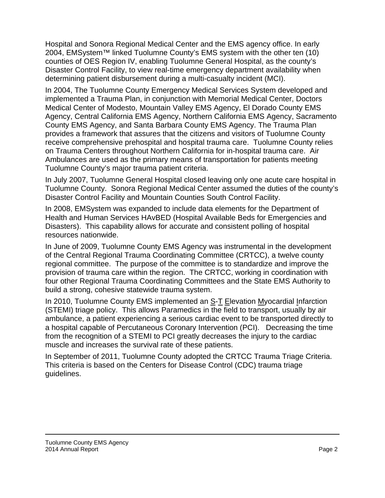Hospital and Sonora Regional Medical Center and the EMS agency office. In early 2004, EMSystem™ linked Tuolumne County's EMS system with the other ten (10) counties of OES Region IV, enabling Tuolumne General Hospital, as the county's Disaster Control Facility, to view real-time emergency department availability when determining patient disbursement during a multi-casualty incident (MCI).

In 2004, The Tuolumne County Emergency Medical Services System developed and implemented a Trauma Plan, in conjunction with Memorial Medical Center, Doctors Medical Center of Modesto, Mountain Valley EMS Agency, El Dorado County EMS Agency, Central California EMS Agency, Northern California EMS Agency, Sacramento County EMS Agency, and Santa Barbara County EMS Agency. The Trauma Plan provides a framework that assures that the citizens and visitors of Tuolumne County receive comprehensive prehospital and hospital trauma care. Tuolumne County relies on Trauma Centers throughout Northern California for in-hospital trauma care. Air Ambulances are used as the primary means of transportation for patients meeting Tuolumne County's major trauma patient criteria.

In July 2007, Tuolumne General Hospital closed leaving only one acute care hospital in Tuolumne County. Sonora Regional Medical Center assumed the duties of the county's Disaster Control Facility and Mountain Counties South Control Facility.

In 2008, EMSystem was expanded to include data elements for the Department of Health and Human Services HAvBED (Hospital Available Beds for Emergencies and Disasters). This capability allows for accurate and consistent polling of hospital resources nationwide.

In June of 2009, Tuolumne County EMS Agency was instrumental in the development of the Central Regional Trauma Coordinating Committee (CRTCC), a twelve county regional committee. The purpose of the committee is to standardize and improve the provision of trauma care within the region. The CRTCC, working in coordination with four other Regional Trauma Coordinating Committees and the State EMS Authority to build a strong, cohesive statewide trauma system.

In 2010, Tuolumne County EMS implemented an S-T Elevation Myocardial Infarction (STEMI) triage policy. This allows Paramedics in the field to transport, usually by air ambulance, a patient experiencing a serious cardiac event to be transported directly to a hospital capable of Percutaneous Coronary Intervention (PCI). Decreasing the time from the recognition of a STEMI to PCI greatly decreases the injury to the cardiac muscle and increases the survival rate of these patients.

In September of 2011, Tuolumne County adopted the CRTCC Trauma Triage Criteria. This criteria is based on the Centers for Disease Control (CDC) trauma triage guidelines.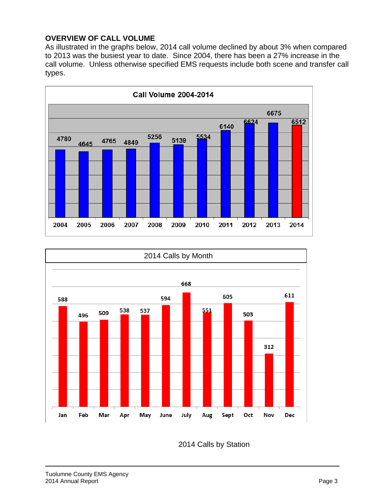#### **OVERVIEW OF CALL VOLUME**

As illustrated in the graphs below, 2014 call volume declined by about 3% when compared to 2013 was the busiest year to date. Since 2004, there has been a 27% increase in the call volume. Unless otherwise specified EMS requests include both scene and transfer call types.





2014 Calls by Station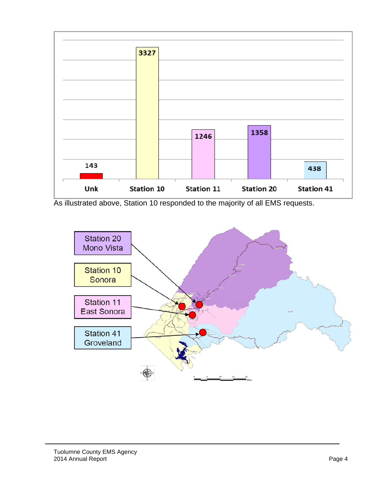

As illustrated above, Station 10 responded to the majority of all EMS requests.

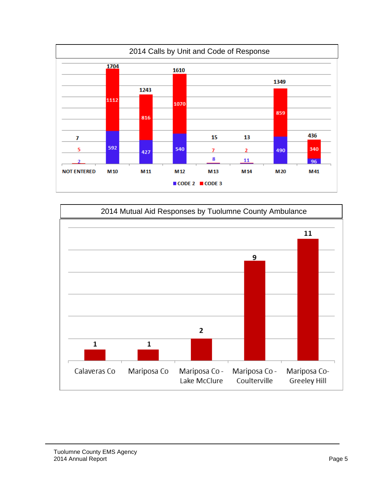

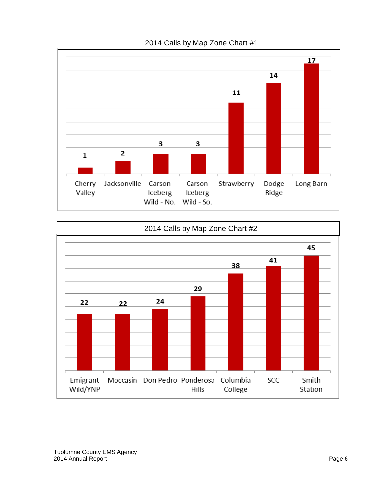

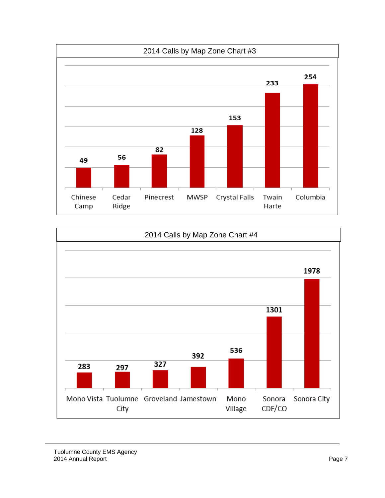

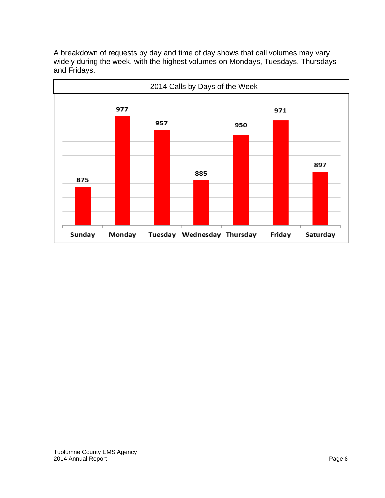A breakdown of requests by day and time of day shows that call volumes may vary widely during the week, with the highest volumes on Mondays, Tuesdays, Thursdays and Fridays.

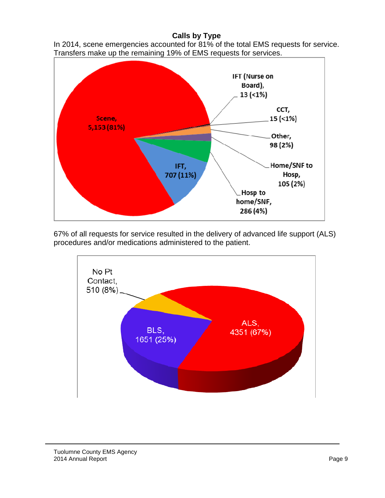### **Calls by Type**

In 2014, scene emergencies accounted for 81% of the total EMS requests for service. Transfers make up the remaining 19% of EMS requests for services.



67% of all requests for service resulted in the delivery of advanced life support (ALS) procedures and/or medications administered to the patient.

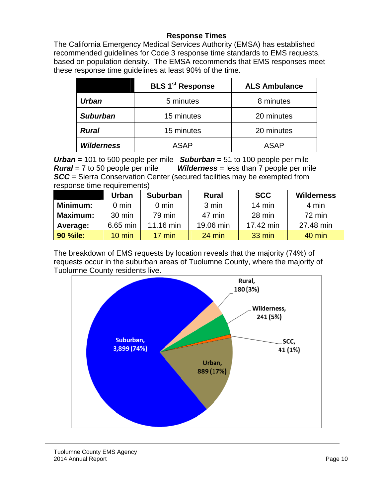#### **Response Times**

The California Emergency Medical Services Authority (EMSA) has established recommended guidelines for Code 3 response time standards to EMS requests, based on population density. The EMSA recommends that EMS responses meet these response time guidelines at least 90% of the time.

|                   | <b>BLS 1<sup>st</sup> Response</b> | <b>ALS Ambulance</b> |  |  |
|-------------------|------------------------------------|----------------------|--|--|
| <b>Urban</b>      | 5 minutes                          | 8 minutes            |  |  |
| <b>Suburban</b>   | 15 minutes                         | 20 minutes           |  |  |
| <b>Rural</b>      | 15 minutes                         | 20 minutes           |  |  |
| <b>Wilderness</b> | ASAP                               | <b>ASAP</b>          |  |  |

*Urban* = 101 to 500 people per mile *Suburban* = 51 to 100 people per mile *Rural* = 7 to 50 people per mile *Wilderness* = less than 7 people per mile *SCC* = Sierra Conservation Center (secured facilities may be exempted from response time requirements)

|                 | Urban            | <b>Suburban</b>  | <b>Rural</b> | <b>SCC</b>       | <b>Wilderness</b> |
|-----------------|------------------|------------------|--------------|------------------|-------------------|
| Minimum:        | $0 \text{ min}$  | $0 \text{ min}$  | 3 min        | $14 \text{ min}$ | 4 min             |
| <b>Maximum:</b> | $30 \text{ min}$ | 79 min           | 47 min       | 28 min           | 72 min            |
| Average:        | 6.65 min         | 11.16 min        | 19.06 min    | 17.42 min        | 27.48 min         |
| 90 %ile:        | $10 \text{ min}$ | $17 \text{ min}$ | 24 min       | 33 min           | $40$ min          |

The breakdown of EMS requests by location reveals that the majority (74%) of requests occur in the suburban areas of Tuolumne County, where the majority of Tuolumne County residents live.

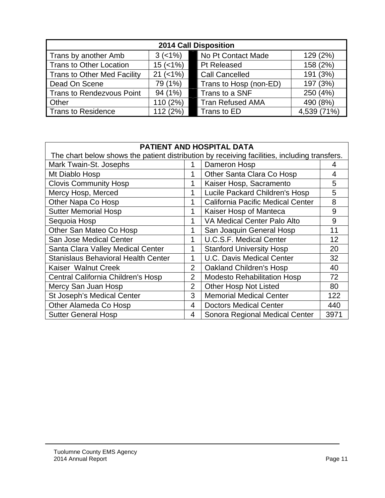| <b>2014 Call Disposition</b> |              |                         |             |  |  |
|------------------------------|--------------|-------------------------|-------------|--|--|
| Trans by another Amb         | $3 (-1%)$    | No Pt Contact Made      | 129 (2%)    |  |  |
| Trans to Other Location      | $15 (< 1\%)$ | Pt Released             | 158 (2%)    |  |  |
| Trans to Other Med Facility  | $21 (< 1\%)$ | <b>Call Cancelled</b>   | 191 (3%)    |  |  |
| Dead On Scene                | 79 (1%)      | Trans to Hosp (non-ED)  | 197 (3%)    |  |  |
| Trans to Rendezvous Point    | 94 (1%)      | Trans to a SNF          | 250 (4%)    |  |  |
| <b>Other</b>                 | 110 (2%)     | <b>Tran Refused AMA</b> | 490 (8%)    |  |  |
| Trans to Residence           | 112 (2%)     | Trans to ED             | 4,539 (71%) |  |  |

| <b>PATIENT AND HOSPITAL DATA</b>                                                             |                |                                    |      |  |
|----------------------------------------------------------------------------------------------|----------------|------------------------------------|------|--|
| The chart below shows the patient distribution by receiving facilities, including transfers. |                |                                    |      |  |
| Mark Twain-St. Josephs<br>Dameron Hosp<br>1                                                  |                |                                    |      |  |
| Mt Diablo Hosp                                                                               | 1              | Other Santa Clara Co Hosp          | 4    |  |
| <b>Clovis Community Hosp</b>                                                                 | 1              | Kaiser Hosp, Sacramento            | 5    |  |
| Mercy Hosp, Merced                                                                           | 1              | Lucile Packard Children's Hosp     | 5    |  |
| Other Napa Co Hosp                                                                           | 1              | California Pacific Medical Center  | 8    |  |
| <b>Sutter Memorial Hosp</b>                                                                  | 1              | Kaiser Hosp of Manteca             | 9    |  |
| Sequoia Hosp                                                                                 | 1              | VA Medical Center Palo Alto        | 9    |  |
| Other San Mateo Co Hosp                                                                      | 1              | San Joaquin General Hosp           | 11   |  |
| San Jose Medical Center                                                                      | 1              | <b>U.C.S.F. Medical Center</b>     | 12   |  |
| Santa Clara Valley Medical Center                                                            | 1              | <b>Stanford University Hosp</b>    | 20   |  |
| <b>Stanislaus Behavioral Health Center</b>                                                   | 1              | <b>U.C. Davis Medical Center</b>   | 32   |  |
| Kaiser Walnut Creek                                                                          | $\overline{2}$ | <b>Oakland Children's Hosp</b>     | 40   |  |
| Central California Children's Hosp                                                           | $\overline{2}$ | <b>Modesto Rehabilitation Hosp</b> | 72   |  |
| Mercy San Juan Hosp                                                                          | $\overline{2}$ | <b>Other Hosp Not Listed</b>       | 80   |  |
| St Joseph's Medical Center                                                                   | 3              | <b>Memorial Medical Center</b>     | 122  |  |
| Other Alameda Co Hosp                                                                        | $\overline{4}$ | <b>Doctors Medical Center</b>      | 440  |  |
| <b>Sutter General Hosp</b>                                                                   | $\overline{4}$ | Sonora Regional Medical Center     | 3971 |  |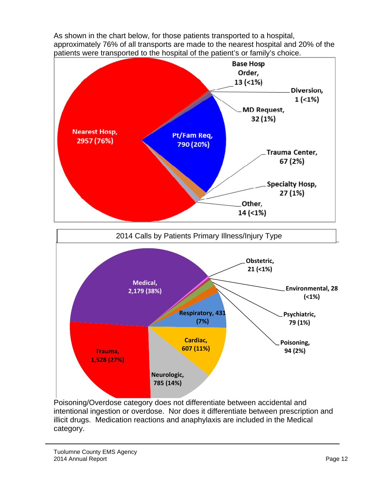As shown in the chart below, for those patients transported to a hospital, approximately 76% of all transports are made to the nearest hospital and 20% of the patients were transported to the hospital of the patient's or family's choice.



Poisoning/Overdose category does not differentiate between accidental and intentional ingestion or overdose. Nor does it differentiate between prescription and illicit drugs. Medication reactions and anaphylaxis are included in the Medical category.

Tuolumne County EMS Agency 2014 Annual Report **Page 12**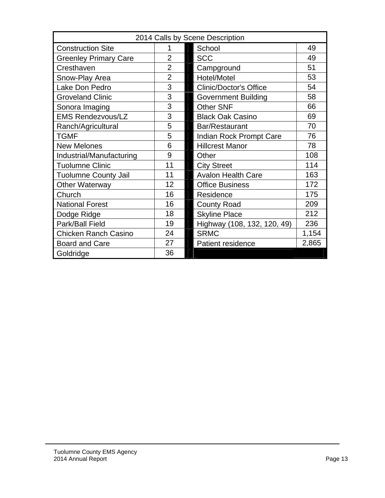| 2014 Calls by Scene Description |                |                               |       |  |
|---------------------------------|----------------|-------------------------------|-------|--|
| <b>Construction Site</b>        |                | 49<br>School                  |       |  |
| <b>Greenley Primary Care</b>    | $\overline{2}$ | <b>SCC</b>                    | 49    |  |
| Cresthaven                      | $\overline{2}$ | Campground                    | 51    |  |
| Snow-Play Area                  | $\overline{2}$ | Hotel/Motel                   | 53    |  |
| Lake Don Pedro                  | 3              | <b>Clinic/Doctor's Office</b> | 54    |  |
| <b>Groveland Clinic</b>         | 3              | <b>Government Building</b>    | 58    |  |
| Sonora Imaging                  | 3              | <b>Other SNF</b>              | 66    |  |
| <b>EMS Rendezvous/LZ</b>        | 3              | <b>Black Oak Casino</b>       | 69    |  |
| Ranch/Agricultural              | 5              | Bar/Restaurant                | 70    |  |
| <b>TGMF</b>                     | 5              | Indian Rock Prompt Care       | 76    |  |
| <b>New Melones</b>              | 6              | <b>Hillcrest Manor</b>        | 78    |  |
| Industrial/Manufacturing        | 9              | Other                         | 108   |  |
| <b>Tuolumne Clinic</b>          | 11             | <b>City Street</b>            | 114   |  |
| <b>Tuolumne County Jail</b>     | 11             | <b>Avalon Health Care</b>     | 163   |  |
| <b>Other Waterway</b>           | 12             | <b>Office Business</b>        | 172   |  |
| Church                          | 16             | Residence                     | 175   |  |
| <b>National Forest</b>          | 16             | <b>County Road</b>            | 209   |  |
| Dodge Ridge                     | 18             | <b>Skyline Place</b>          | 212   |  |
| Park/Ball Field                 | 19             | Highway (108, 132, 120, 49)   | 236   |  |
| <b>Chicken Ranch Casino</b>     | 24             | <b>SRMC</b>                   | 1,154 |  |
| <b>Board and Care</b>           | 27             | <b>Patient residence</b>      | 2,865 |  |
| Goldridge                       | 36             |                               |       |  |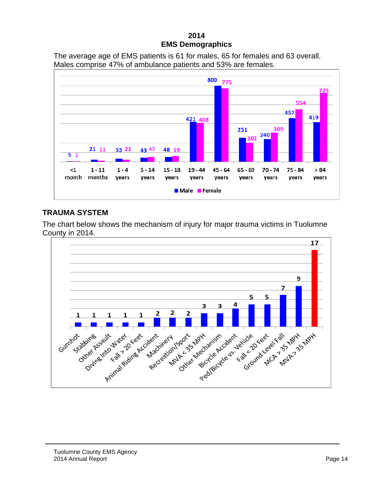#### **2014 EMS Demographics**

The average age of EMS patients is 61 for males, 65 for females and 63 overall. Males comprise 47% of ambulance patients and 53% are females.



### **TRAUMA SYSTEM**

The chart below shows the mechanism of injury for major trauma victims in Tuolumne County in 2014.

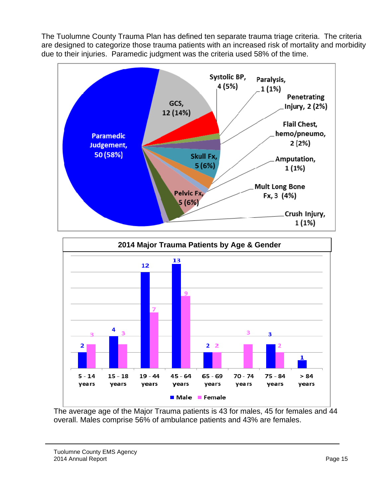The Tuolumne County Trauma Plan has defined ten separate trauma triage criteria. The criteria are designed to categorize those trauma patients with an increased risk of mortality and morbidity due to their injuries. Paramedic judgment was the criteria used 58% of the time.





The average age of the Major Trauma patients is 43 for males, 45 for females and 44 overall. Males comprise 56% of ambulance patients and 43% are females.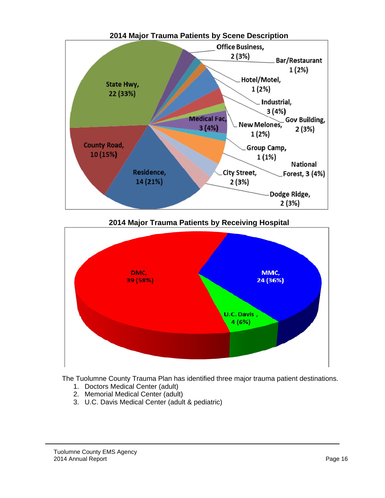

**2014 Major Trauma Patients by Receiving Hospital** 



The Tuolumne County Trauma Plan has identified three major trauma patient destinations.

- 1. Doctors Medical Center (adult)
- 2. Memorial Medical Center (adult)
- 3. U.C. Davis Medical Center (adult & pediatric)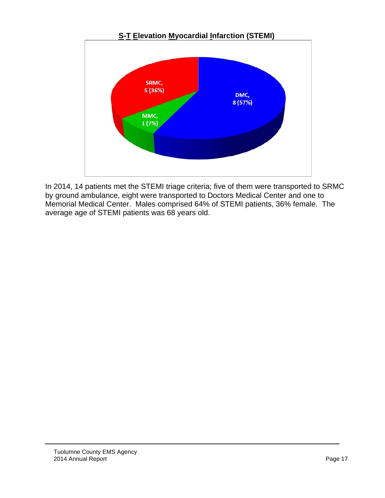

In 2014, 14 patients met the STEMI triage criteria; five of them were transported to SRMC by ground ambulance, eight were transported to Doctors Medical Center and one to Memorial Medical Center. Males comprised 64% of STEMI patients, 36% female. The average age of STEMI patients was 68 years old.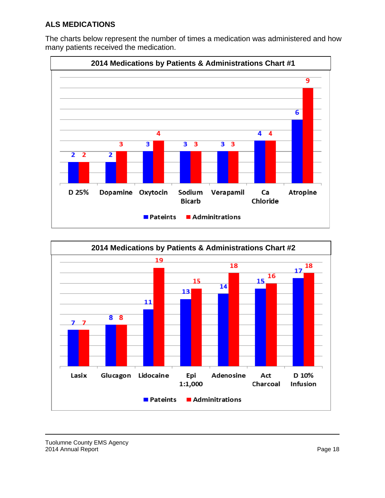### **ALS MEDICATIONS**

The charts below represent the number of times a medication was administered and how many patients received the medication.



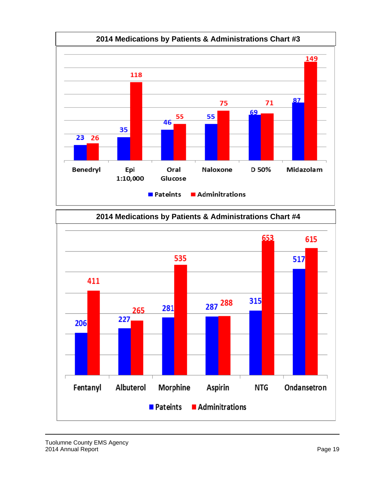



Tuolumne County EMS Agency 2014 Annual Report **Page 19**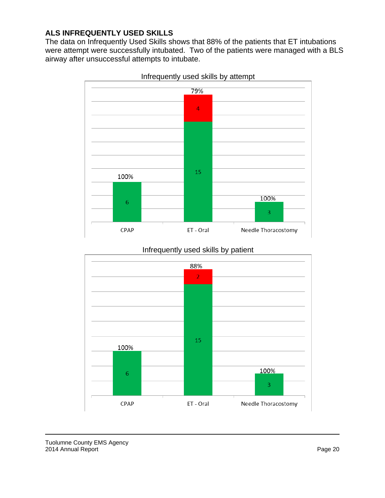#### **ALS INFREQUENTLY USED SKILLS**

The data on Infrequently Used Skills shows that 88% of the patients that ET intubations were attempt were successfully intubated. Two of the patients were managed with a BLS airway after unsuccessful attempts to intubate.



Infrequently used skills by attempt

## Infrequently used skills by patient

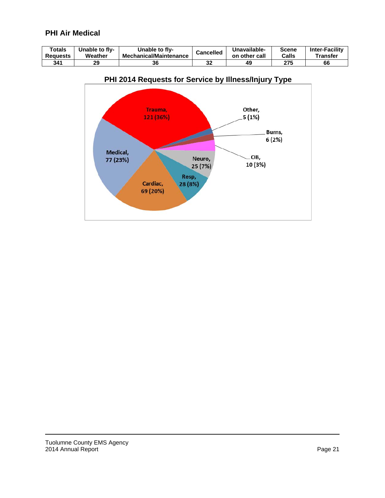## **PHI Air Medical**

| Totals          | Unable to flv- | <b>Unable to flv-</b>         | <b>Cancelled</b> | Unavailable-  | Scene | <b>Inter-Facility</b> |
|-----------------|----------------|-------------------------------|------------------|---------------|-------|-----------------------|
| <b>Requests</b> | Weather        | <b>Mechanical/Maintenance</b> |                  | on other call | Calls | Transfer              |
| 341             | 29             | 36                            | ^^<br>JZ.        | 49            | 275   | 66                    |



### **PHI 2014 Requests for Service by Illness/Injury Type**